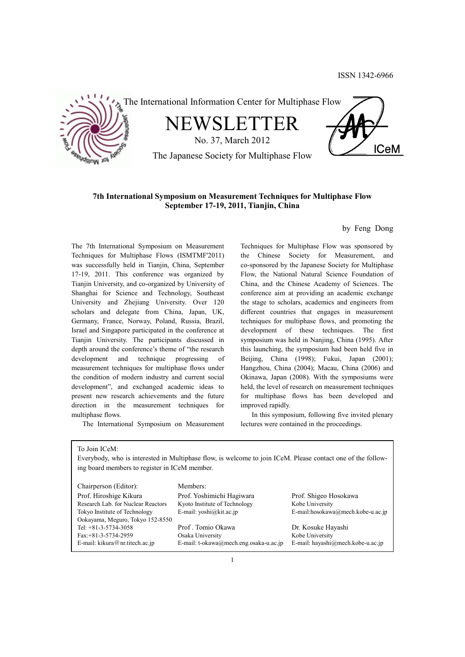

## **7th International Symposium on Measurement Techniques for Multiphase Flow September 17-19, 2011, Tianjin, China**

by Feng Dong

The 7th International Symposium on Measurement Techniques for Multiphase Flows (ISMTMF'2011) was successfully held in Tianjin, China, September 17-19, 2011. This conference was organized by Tianjin University, and co-organized by University of Shanghai for Science and Technology, Southeast University and Zhejiang University. Over 120 scholars and delegate from China, Japan, UK, Germany, France, Norway, Poland, Russia, Brazil, Israel and Singapore participated in the conference at Tianjin University. The participants discussed in depth around the conference's theme of "the research development and technique progressing of measurement techniques for multiphase flows under the condition of modern industry and current social development", and exchanged academic ideas to present new research achievements and the future direction in the measurement techniques for multiphase flows.

The International Symposium on Measurement

Techniques for Multiphase Flow was sponsored by the Chinese Society for Measurement, and co-sponsored by the Japanese Society for Multiphase Flow, the National Natural Science Foundation of China, and the Chinese Academy of Sciences. The conference aim at providing an academic exchange the stage to scholars, academics and engineers from different countries that engages in measurement techniques for multiphase flows, and promoting the development of these techniques. The first symposium was held in Nanjing, China (1995). After this launching, the symposium had been held five in Beijing, China (1998); Fukui, Japan (2001); Hangzhou, China (2004); Macau, China (2006) and Okinawa, Japan (2008). With the symposiums were held, the level of research on measurement techniques for multiphase flows has been developed and improved rapidly.

 In this symposium, following five invited plenary lectures were contained in the proceedings.

To Join ICeM:

Everybody, who is interested in Multiphase flow, is welcome to join ICeM. Please contact one of the following board members to register in ICeM member.

| Chairperson (Editor):              | Members:                               |                                   |
|------------------------------------|----------------------------------------|-----------------------------------|
| Prof. Hiroshige Kikura             | Prof. Yoshimichi Hagiwara              | Prof. Shigeo Hosokawa             |
| Research Lab. for Nuclear Reactors | Kyoto Institute of Technology          | Kobe University                   |
| Tokyo Institute of Technology      | E-mail: $vosh(\omega kit.ac.jp)$       | E-mail:hosokawa@mech.kobe-u.ac.jp |
| Ookayama, Meguro, Tokyo 152-8550   |                                        |                                   |
| Tel: $+81-3-5734-3058$             | Prof. Tomio Okawa                      | Dr. Kosuke Hayashi                |
| Fax:+81-3-5734-2959                | Osaka University                       | Kobe University                   |
| E-mail: kikura@nr.titech.ac.jp     | E-mail: t-okawa@mech.eng.osaka-u.ac.jp | E-mail: hayashi@mech.kobe-u.ac.jp |
|                                    |                                        |                                   |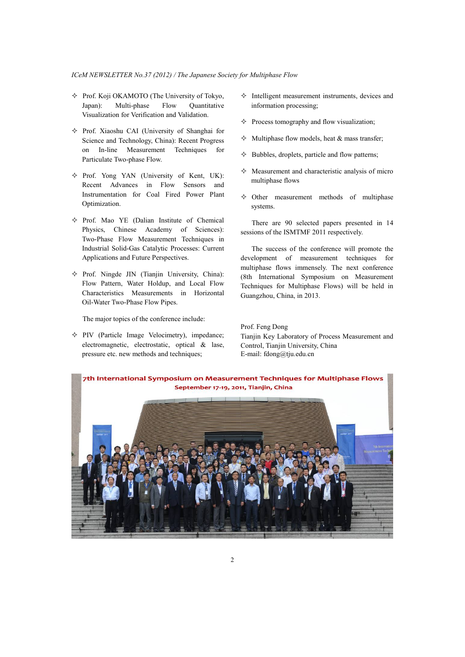- $\Diamond$  Prof. Koji OKAMOTO (The University of Tokyo, Japan): Multi-phase Flow Quantitative Visualization for Verification and Validation.
- $\Diamond$  Prof. Xiaoshu CAI (University of Shanghai for Science and Technology, China): Recent Progress on In-line Measurement Techniques for Particulate Two-phase Flow.
- $\Diamond$  Prof. Yong YAN (University of Kent, UK): Recent Advances in Flow Sensors and Instrumentation for Coal Fired Power Plant Optimization.
- $\Diamond$  Prof. Mao YE (Dalian Institute of Chemical Physics, Chinese Academy of Sciences): Two-Phase Flow Measurement Techniques in Industrial Solid-Gas Catalytic Processes: Current Applications and Future Perspectives.
- $\Diamond$  Prof. Ningde JIN (Tianjin University, China): Flow Pattern, Water Holdup, and Local Flow Characteristics Measurements in Horizontal Oil-Water Two-Phase Flow Pipes.

The major topics of the conference include:

 $\Diamond$  PIV (Particle Image Velocimetry), impedance; electromagnetic, electrostatic, optical & lase, pressure etc. new methods and techniques;

- $\Diamond$  Intelligent measurement instruments, devices and information processing;
- $\Diamond$  Process tomography and flow visualization;
- $\Diamond$  Multiphase flow models, heat & mass transfer;
- $\Diamond$  Bubbles, droplets, particle and flow patterns;
- $\Diamond$  Measurement and characteristic analysis of micro multiphase flows
- $\diamond$  Other measurement methods of multiphase systems.

 There are 90 selected papers presented in 14 sessions of the ISMTMF 2011 respectively.

 The success of the conference will promote the development of measurement techniques for multiphase flows immensely. The next conference (8th International Symposium on Measurement Techniques for Multiphase Flows) will be held in Guangzhou, China, in 2013.

Prof. Feng Dong Tianjin Key Laboratory of Process Measurement and Control, Tianjin University, China E-mail: fdong@tju.edu.cn

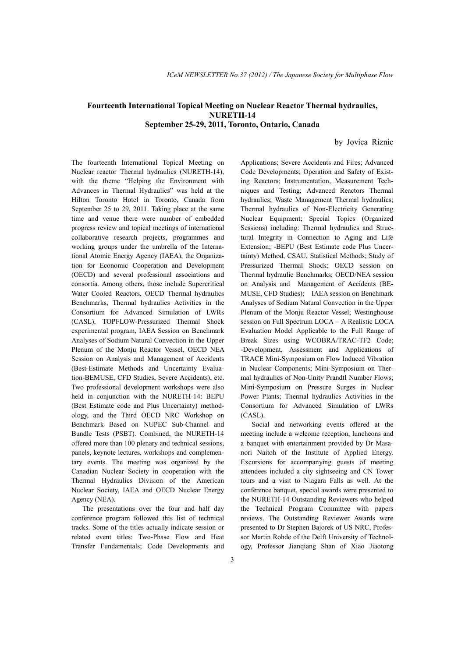## **Fourteenth International Topical Meeting on Nuclear Reactor Thermal hydraulics, NURETH-14 September 25-29, 2011, Toronto, Ontario, Canada**

by Jovica Riznic

The fourteenth International Topical Meeting on Nuclear reactor Thermal hydraulics (NURETH-14), with the theme "Helping the Environment with Advances in Thermal Hydraulics" was held at the Hilton Toronto Hotel in Toronto, Canada from September 25 to 29, 2011. Taking place at the same time and venue there were number of embedded progress review and topical meetings of international collaborative research projects, programmes and working groups under the umbrella of the International Atomic Energy Agency (IAEA), the Organization for Economic Cooperation and Development (OECD) and several professional associations and consortia. Among others, those include Supercritical Water Cooled Reactors, OECD Thermal hydraulics Benchmarks, Thermal hydraulics Activities in the Consortium for Advanced Simulation of LWRs (CASL), TOPFLOW-Pressurized Thermal Shock experimental program, IAEA Session on Benchmark Analyses of Sodium Natural Convection in the Upper Plenum of the Monju Reactor Vessel, OECD NEA Session on Analysis and Management of Accidents (Best-Estimate Methods and Uncertainty Evaluation-BEMUSE, CFD Studies, Severe Accidents), etc. Two professional development workshops were also held in conjunction with the NURETH-14: BEPU (Best Estimate code and Plus Uncertainty) methodology, and the Third OECD NRC Workshop on Benchmark Based on NUPEC Sub-Channel and Bundle Tests (PSBT). Combined, the NURETH-14 offered more than 100 plenary and technical sessions, panels, keynote lectures, workshops and complementary events. The meeting was organized by the Canadian Nuclear Society in cooperation with the Thermal Hydraulics Division of the American Nuclear Society, IAEA and OECD Nuclear Energy Agency (NEA).

 The presentations over the four and half day conference program followed this list of technical tracks. Some of the titles actually indicate session or related event titles: Two-Phase Flow and Heat Transfer Fundamentals; Code Developments and

Applications; Severe Accidents and Fires; Advanced Code Developments; Operation and Safety of Existing Reactors; Instrumentation, Measurement Techniques and Testing; Advanced Reactors Thermal hydraulics; Waste Management Thermal hydraulics; Thermal hydraulics of Non-Electricity Generating Nuclear Equipment; Special Topics (Organized Sessions) including: Thermal hydraulics and Structural Integrity in Connection to Aging and Life Extension; -BEPU (Best Estimate code Plus Uncertainty) Method, CSAU, Statistical Methods; Study of Pressurized Thermal Shock; OECD session on Thermal hydraulic Benchmarks; OECD/NEA session on Analysis and Management of Accidents (BE-MUSE, CFD Studies); IAEA session on Benchmark Analyses of Sodium Natural Convection in the Upper Plenum of the Monju Reactor Vessel; Westinghouse session on Full Spectrum LOCA – A Realistic LOCA Evaluation Model Applicable to the Full Range of Break Sizes using WCOBRA/TRAC-TF2 Code; -Development, Assessment and Applications of TRACE Mini-Symposium on Flow Induced Vibration in Nuclear Components; Mini-Symposium on Thermal hydraulics of Non-Unity Prandtl Number Flows; Mini-Symposium on Pressure Surges in Nuclear Power Plants; Thermal hydraulics Activities in the Consortium for Advanced Simulation of LWRs (CASL).

 Social and networking events offered at the meeting include a welcome reception, luncheons and a banquet with entertainment provided by Dr Masanori Naitoh of the Institute of Applied Energy. Excursions for accompanying guests of meeting attendees included a city sightseeing and CN Tower tours and a visit to Niagara Falls as well. At the conference banquet, special awards were presented to the NURETH-14 Outstanding Reviewers who helped the Technical Program Committee with papers reviews. The Outstanding Reviewer Awards were presented to Dr Stephen Bajorek of US NRC, Professor Martin Rohde of the Delft University of Technology, Professor Jianqiang Shan of Xiao Jiaotong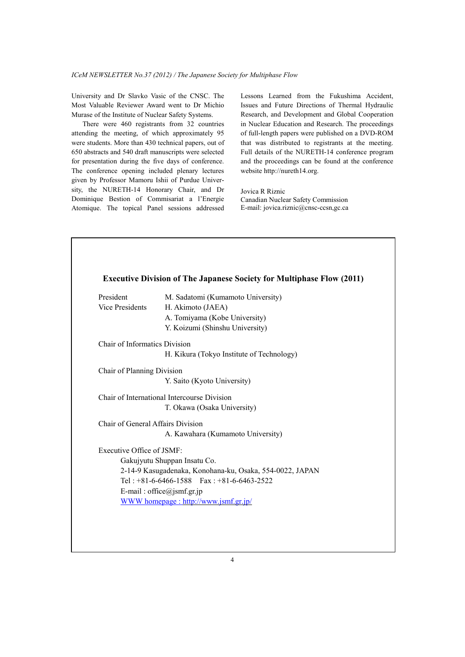University and Dr Slavko Vasic of the CNSC. The Most Valuable Reviewer Award went to Dr Michio Murase of the Institute of Nuclear Safety Systems.

 There were 460 registrants from 32 countries attending the meeting, of which approximately 95 were students. More than 430 technical papers, out of 650 abstracts and 540 draft manuscripts were selected for presentation during the five days of conference. The conference opening included plenary lectures given by Professor Mamoru Ishii of Purdue University, the NURETH-14 Honorary Chair, and Dr Dominique Bestion of Commisariat a l'Energie Atomique. The topical Panel sessions addressed Lessons Learned from the Fukushima Accident, Issues and Future Directions of Thermal Hydraulic Research, and Development and Global Cooperation in Nuclear Education and Research. The proceedings of full-length papers were published on a DVD-ROM that was distributed to registrants at the meeting. Full details of the NURETH-14 conference program and the proceedings can be found at the conference website http://nureth14.org.

Jovica R Riznic Canadian Nuclear Safety Commission E-mail: jovica.riznic@cnsc-ccsn,gc.ca

| President                         | M. Sadatomi (Kumamoto University)                        |
|-----------------------------------|----------------------------------------------------------|
| <b>Vice Presidents</b>            | H. Akimoto (JAEA)                                        |
|                                   | A. Tomiyama (Kobe University)                            |
|                                   | Y. Koizumi (Shinshu University)                          |
| Chair of Informatics Division     |                                                          |
|                                   | H. Kikura (Tokyo Institute of Technology)                |
| Chair of Planning Division        |                                                          |
|                                   | Y. Saito (Kyoto University)                              |
|                                   | Chair of International Intercourse Division              |
|                                   | T. Okawa (Osaka University)                              |
| Chair of General Affairs Division |                                                          |
|                                   | A. Kawahara (Kumamoto University)                        |
| Executive Office of JSMF:         |                                                          |
|                                   | Gakujyutu Shuppan Insatu Co.                             |
|                                   | 2-14-9 Kasugadenaka, Konohana-ku, Osaka, 554-0022, JAPAN |
|                                   | Tel: $+81-6-6466-1588$ Fax: $+81-6-6463-2522$            |
|                                   | E-mail: office@jsmf.gr.jp                                |
|                                   | WWW homepage: http://www.jsmf.gr.jp/                     |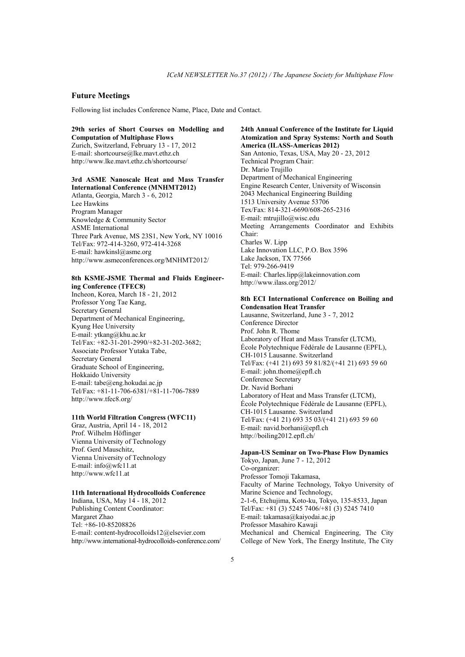## **Future Meetings**

Following list includes Conference Name, Place, Date and Contact.

**29th series of Short Courses on Modelling and Computation of Multiphase Flows** 

Zurich, Switzerland, February 13 - 17, 2012 E-mail: shortcourse@lke.mavt.ethz.ch http://www.lke.mavt.ethz.ch/shortcourse/

### **3rd ASME Nanoscale Heat and Mass Transfer International Conference (MNHMT2012)**

Atlanta, Georgia, March 3 - 6, 2012 Lee Hawkins Program Manager Knowledge & Community Sector ASME International Three Park Avenue, MS 23S1, New York, NY 10016 Tel/Fax: 972-414-3260, 972-414-3268 E-mail: hawkinsl@asme.org http://www.asmeconferences.org/MNHMT2012/

### **8th KSME-JSME Thermal and Fluids Engineering Conference (TFEC8)**

Incheon, Korea, March 18 - 21, 2012 Professor Yong Tae Kang, Secretary General Department of Mechanical Engineering, Kyung Hee University E-mail: ytkang@khu.ac.kr Tel/Fax: +82-31-201-2990/+82-31-202-3682; Associate Professor Yutaka Tabe, Secretary General Graduate School of Engineering, Hokkaido University E-mail: tabe@eng.hokudai.ac.jp Tel/Fax: +81-11-706-6381/+81-11-706-7889 http://www.tfec8.org/

### **11th World Filtration Congress (WFC11)**

Graz, Austria, April 14 - 18, 2012 Prof. Wilhelm Höflinger Vienna University of Technology Prof. Gerd Mauschitz, Vienna University of Technology E-mail: info@wfc11.at http://www.wfc11.at

#### **11th International Hydrocolloids Conference**

Indiana, USA, May 14 - 18, 2012 Publishing Content Coordinator: Margaret Zhao Tel: +86-10-85208826 E-mail: content-hydrocolloids12@elsevier.com http://www.international-hydrocolloids-conference.com/ **24th Annual Conference of the Institute for Liquid Atomization and Spray Systems: North and South America (ILASS-Americas 2012)**  San Antonio, Texas, USA, May 20 - 23, 2012 Technical Program Chair: Dr. Mario Trujillo Department of Mechanical Engineering Engine Research Center, University of Wisconsin 2043 Mechanical Engineering Building 1513 University Avenue 53706 Tex/Fax: 814-321-6690/608-265-2316 E-mail: mtrujillo@wisc.edu Meeting Arrangements Coordinator and Exhibits Chair: Charles W. Lipp Lake Innovation LLC, P.O. Box 3596 Lake Jackson, TX 77566 Tel: 979-266-9419 E-mail: Charles.lipp@lakeinnovation.com http://www.ilass.org/2012/

### **8th ECI International Conference on Boiling and Condensation Heat Transfer**

Lausanne, Switzerland, June 3 - 7, 2012 Conference Director Prof. John R. Thome Laboratory of Heat and Mass Transfer (LTCM), École Polytechnique Fédérale de Lausanne (EPFL), CH-1015 Lausanne. Switzerland Tel/Fax: (+41 21) 693 59 81/82/(+41 21) 693 59 60 E-mail: john.thome@epfl.ch Conference Secretary Dr. Navid Borhani Laboratory of Heat and Mass Transfer (LTCM), École Polytechnique Fédérale de Lausanne (EPFL), CH-1015 Lausanne. Switzerland Tel/Fax: (+41 21) 693 35 03/(+41 21) 693 59 60 E-mail: navid.borhani@epfl.ch http://boiling2012.epfl.ch/

### **Japan-US Seminar on Two-Phase Flow Dynamics**

Tokyo, Japan, June 7 - 12, 2012 Co-organizer: Professor Tomoji Takamasa, Faculty of Marine Technology, Tokyo University of Marine Science and Technology, 2-1-6, Etchujima, Koto-ku, Tokyo, 135-8533, Japan Tel/Fax: +81 (3) 5245 7406/+81 (3) 5245 7410 E-mail: takamasa@kaiyodai.ac.jp Professor Masahiro Kawaji Mechanical and Chemical Engineering, The City College of New York, The Energy Institute, The City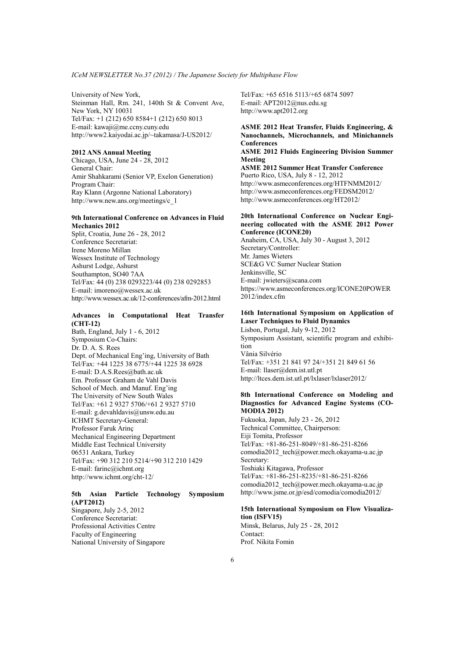University of New York, Steinman Hall, Rm. 241, 140th St & Convent Ave, New York, NY 10031 Tel/Fax: +1 (212) 650 8584+1 (212) 650 8013 E-mail: kawaji@me.ccny.cuny.edu http://www2.kaiyodai.ac.jp/~takamasa/J-US2012/

### **2012 ANS Annual Meeting**

Chicago, USA, June 24 - 28, 2012 General Chair: Amir Shahkarami (Senior VP, Exelon Generation) Program Chair: Ray Klann (Argonne National Laboratory) http://www.new.ans.org/meetings/c\_1

## **9th International Conference on Advances in Fluid Mechanics 2012**

Split, Croatia, June 26 - 28, 2012 Conference Secretariat: Irene Moreno Millan Wessex Institute of Technology Ashurst Lodge, Ashurst Southampton, SO40 7AA Tel/Fax: 44 (0) 238 0293223/44 (0) 238 0292853 E-mail: imoreno@wessex.ac.uk http://www.wessex.ac.uk/12-conferences/afm-2012.html

## **Advances in Computational Heat Transfer (CHT-12)**

Bath, England, July 1 - 6, 2012 Symposium Co-Chairs: Dr. D. A. S. Rees Dept. of Mechanical Eng'ing, University of Bath Tel/Fax: +44 1225 38 6775/+44 1225 38 6928 E-mail: D.A.S.Rees@bath.ac.uk Em. Professor Graham de Vahl Davis School of Mech. and Manuf. Eng'ing The University of New South Wales Tel/Fax: +61 2 9327 5706/+61 2 9327 5710 E-mail: g.devahldavis@unsw.edu.au ICHMT Secretary-General: Professor Faruk Arinç Mechanical Engineering Department Middle East Technical University 06531 Ankara, Turkey Tel/Fax: +90 312 210 5214/+90 312 210 1429 E-mail: farinc@ichmt.org http://www.ichmt.org/cht-12/

## **5th Asian Particle Technology Symposium (APT2012)**

Singapore, July 2-5, 2012 Conference Secretariat: Professional Activities Centre Faculty of Engineering National University of Singapore Tel/Fax: +65 6516 5113/+65 6874 5097 E-mail: APT2012@nus.edu.sg http://www.apt2012.org

## **ASME 2012 Heat Transfer, Fluids Engineering, & Nanochannels, Microchannels, and Minichannels Conferences**

**ASME 2012 Fluids Engineering Division Summer Meeting** 

**ASME 2012 Summer Heat Transfer Conference**  Puerto Rico, USA, July 8 - 12, 2012 http://www.asmeconferences.org/HTFNMM2012/ http://www.asmeconferences.org/FEDSM2012/ http://www.asmeconferences.org/HT2012/

#### **20th International Conference on Nuclear Engineering collocated with the ASME 2012 Power Conference (ICONE20)**

Anaheim, CA, USA, July 30 - August 3, 2012 Secretary/Controller: Mr. James Wieters SCE&G VC Sumer Nuclear Station Jenkinsville, SC E-mail: jwieters@scana.com https://www.asmeconferences.org/ICONE20POWER 2012/index.cfm

## **16th International Symposium on Application of Laser Techniques to Fluid Dynamics**

Lisbon, Portugal, July 9-12, 2012 Symposium Assistant, scientific program and exhibition Vânia Silvério Tel/Fax: +351 21 841 97 24/+351 21 849 61 56 E-mail: llaser@dem.ist.utl.pt http://ltces.dem.ist.utl.pt/lxlaser/lxlaser2012/

### **8th International Conference on Modeling and Diagnostics for Advanced Engine Systems (CO-MODIA 2012)**

Fukuoka, Japan, July 23 - 26, 2012 Technical Committee, Chairperson: Eiji Tomita, Professor Tel/Fax: +81-86-251-8049/+81-86-251-8266 comodia2012\_tech@power.mech.okayama-u.ac.jp Secretary: Toshiaki Kitagawa, Professor Tel/Fax: +81-86-251-8235/+81-86-251-8266 comodia2012\_tech@power.mech.okayama-u.ac.jp http://www.jsme.or.jp/esd/comodia/comodia2012/

## **15th International Symposium on Flow Visualization (ISFV15)**

Minsk, Belarus, July 25 - 28, 2012 Contact: Prof. Nikita Fomin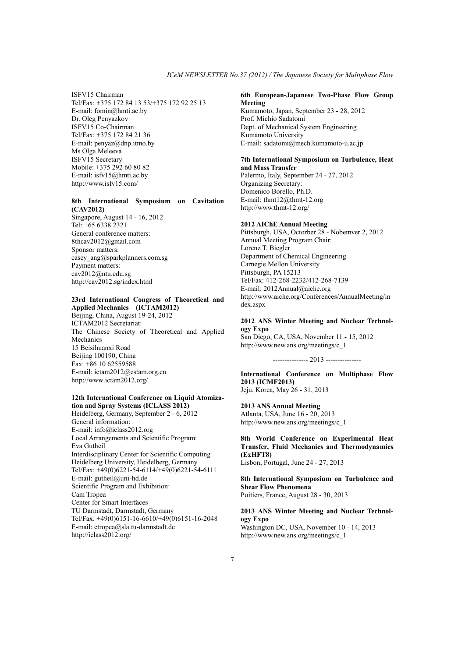ISFV15 Chairman Tel/Fax: +375 172 84 13 53/+375 172 92 25 13 E-mail: fomin@hmti.ac.by Dr. Oleg Penyazkov ISFV15 Co-Chairman Tel/Fax: +375 172 84 21 36 E-mail: penyaz@dnp.itmo.by Ms Olga Meleeva ISFV15 Secretary Mobile: +375 292 60 80 82 E-mail: isfv15@hmti.ac.by http://www.isfv15.com/

#### **8th International Symposium on Cavitation (CAV2012)**

Singapore, August 14 - 16, 2012 Tel: +65 6338 2321 General conference matters: 8thcav2012@gmail.com Sponsor matters: casey ang@sparkplanners.com.sg Payment matters: cav2012@ntu.edu.sg http://cav2012.sg/index.html

## **23rd International Congress of Theoretical and Applied Mechanics (ICTAM2012)**

Beijing, China, August 19-24, 2012 ICTAM2012 Secretariat: The Chinese Society of Theoretical and Applied Mechanics 15 Beisihuanxi Road Beijing 100190, China Fax: +86 10 62559588 E-mail: ictam2012@cstam.org.cn http://www.ictam2012.org/

### **12th International Conference on Liquid Atomization and Spray Systems (ICLASS 2012)**

Heidelberg, Germany, September 2 - 6, 2012 General information: E-mail: info@iclass2012.org Local Arrangements and Scientific Program: Eva Gutheil Interdisciplinary Center for Scientific Computing Heidelberg University, Heidelberg, Germany Tel/Fax: +49(0)6221-54-6114/+49(0)6221-54-6111 E-mail: gutheil@uni-hd.de Scientific Program and Exhibition: Cam Tropea Center for Smart Interfaces TU Darmstadt, Darmstadt, Germany Tel/Fax: +49(0)6151-16-6610/+49(0)6151-16-2048 E-mail: ctropea@sla.tu-darmstadt.de http://iclass2012.org/

#### **6th European-Japanese Two-Phase Flow Group Meeting**

Kumamoto, Japan, September 23 - 28, 2012 Prof. Michio Sadatomi Dept. of Mechanical System Engineering Kumamoto University E-mail: sadatomi@mech.kumamoto-u.ac.jp

## **7th International Symposium on Turbulence, Heat and Mass Transfer**

Palermo, Italy, September 24 - 27, 2012 Organizing Secretary: Domenico Borello, Ph.D. E-mail: thmt12@thmt-12.org http://www.thmt-12.org/

### **2012 AIChE Annual Meeting**

Pittsburgh, USA, Octorber 28 - Nobemver 2, 2012 Annual Meeting Program Chair: Lorenz T. Biegler Department of Chemical Engineering Carnegie Mellon University Pittsburgh, PA 15213 Tel/Fax: 412-268-2232/412-268-7139 E-mail: 2012Annual@aiche.org http://www.aiche.org/Conferences/AnnualMeeting/in dex.aspx

#### **2012 ANS Winter Meeting and Nuclear Technology Expo**

San Diego, CA, USA, November 11 - 15, 2012 http://www.new.ans.org/meetings/c\_1

--------------- 2013 ---------------

**International Conference on Multiphase Flow 2013 (ICMF2013)** Jeju, Korea, May 26 - 31, 2013

### **2013 ANS Annual Meeting**

Atlanta, USA, June 16 - 20, 2013 http://www.new.ans.org/meetings/c\_1

### **8th World Conference on Experimental Heat Transfer, Fluid Mechanics and Thermodynamics (ExHFT8)** Lisbon, Portugal, June 24 - 27, 2013

**8th International Symposium on Turbulence and Shear Flow Phenomena**  Poitiers, France, August 28 - 30, 2013

## **2013 ANS Winter Meeting and Nuclear Technology Expo**

Washington DC, USA, November 10 - 14, 2013 http://www.new.ans.org/meetings/c\_1